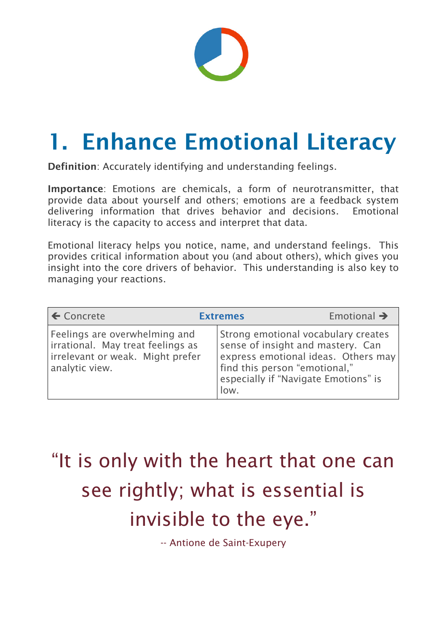

# 1. Enhance Emotional Literacy

Definition: Accurately identifying and understanding feelings.

Importance: Emotions are chemicals, a form of neurotransmitter, that provide data about yourself and others; emotions are a feedback system delivering information that drives behavior and decisions. Emotional literacy is the capacity to access and interpret that data.

Emotional literacy helps you notice, name, and understand feelings. This provides critical information about you (and about others), which gives you insight into the core drivers of behavior. This understanding is also key to managing your reactions.

| $\leftarrow$ Concrete                                                                                                    | <b>Extremes</b> |                                                                                                                                                                                                  | Emotional $\rightarrow$ |
|--------------------------------------------------------------------------------------------------------------------------|-----------------|--------------------------------------------------------------------------------------------------------------------------------------------------------------------------------------------------|-------------------------|
| Feelings are overwhelming and<br>irrational. May treat feelings as<br>irrelevant or weak. Might prefer<br>analytic view. |                 | Strong emotional vocabulary creates<br>sense of insight and mastery. Can<br>express emotional ideas. Others may<br>find this person "emotional,"<br>especially if "Navigate Emotions" is<br>low. |                         |

### "It is only with the heart that one can

# see rightly; what is essential is invisible to the eye."

-- Antione de Saint-Exupery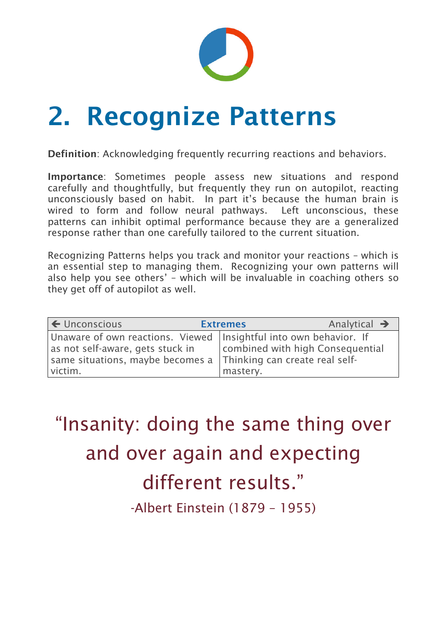

# 2. Recognize Patterns

Definition: Acknowledging frequently recurring reactions and behaviors.

Importance: Sometimes people assess new situations and respond carefully and thoughtfully, but frequently they run on autopilot, reacting unconsciously based on habit. In part it's because the human brain is wired to form and follow neural pathways. Left unconscious, these patterns can inhibit optimal performance because they are a generalized response rather than one carefully tailored to the current situation.

Recognizing Patterns helps you track and monitor your reactions – which is an essential step to managing them. Recognizing your own patterns will also help you see others' – which will be invaluable in coaching others so they get off of autopilot as well.

| $\left  \right. \leftarrow$ Unconscious                             | <b>Extremes</b> |                                  | Analytical $\rightarrow$ |
|---------------------------------------------------------------------|-----------------|----------------------------------|--------------------------|
| Unaware of own reactions. Viewed   Insightful into own behavior. If |                 |                                  |                          |
| as not self-aware, gets stuck in                                    |                 | combined with high Consequential |                          |
| same situations, maybe becomes a Thinking can create real self-     |                 |                                  |                          |
| victim.                                                             |                 | mastery.                         |                          |

# "Insanity: doing the same thing over and over again and expecting

#### different results."

-Albert Einstein (1879 – 1955)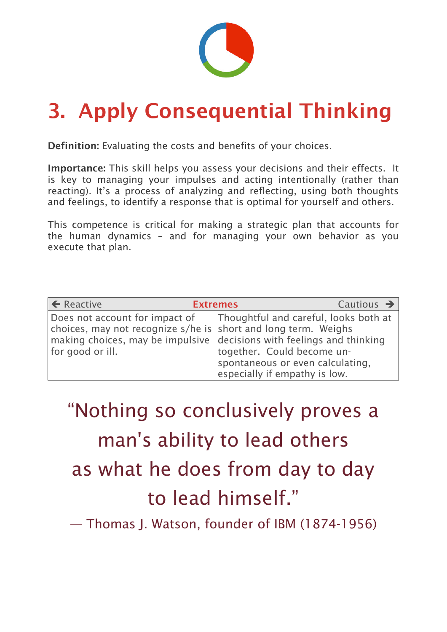

### 3. Apply Consequential Thinking

Definition: Evaluating the costs and benefits of your choices.

Importance: This skill helps you assess your decisions and their effects. It is key to managing your impulses and acting intentionally (rather than reacting). It's a process of analyzing and reflecting, using both thoughts and feelings, to identify a response that is optimal for yourself and others.

This competence is critical for making a strategic plan that accounts for the human dynamics – and for managing your own behavior as you execute that plan.

| $\left  \right. \leftarrow$ Reactive                                                                      | <b>Extremes</b>                                                                                 | Cautious $\rightarrow$ |
|-----------------------------------------------------------------------------------------------------------|-------------------------------------------------------------------------------------------------|------------------------|
| Does not account for impact of<br>choices, may not recognize s/he is short and long term. Weighs          | Thoughtful and careful, looks both at                                                           |                        |
| $\vert$ making choices, may be impulsive $\vert$ decisions with feelings and thinking<br>for good or ill. | together. Could become un-<br>spontaneous or even calculating,<br>especially if empathy is low. |                        |

"Nothing so conclusively proves a man's ability to lead others as what he does from day to day

#### to lead himself."

#### — Thomas J. Watson, founder of IBM (1874-1956)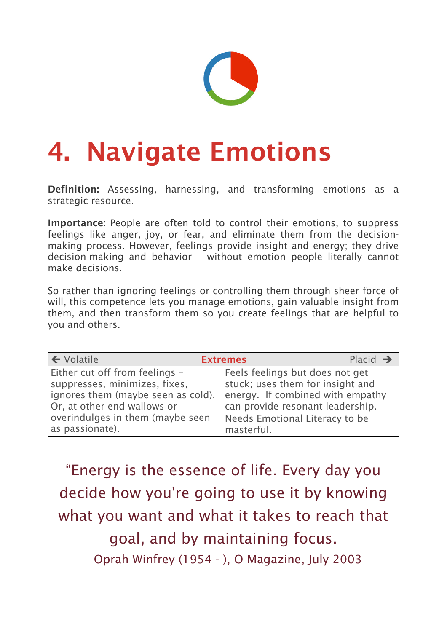

# 4. Navigate Emotions

Definition: Assessing, harnessing, and transforming emotions as a strategic resource.

Importance: People are often told to control their emotions, to suppress feelings like anger, joy, or fear, and eliminate them from the decisionmaking process. However, feelings provide insight and energy; they drive decision-making and behavior – without emotion people literally cannot make decisions.

So rather than ignoring feelings or controlling them through sheer force of will, this competence lets you manage emotions, gain valuable insight from them, and then transform them so you create feelings that are helpful to you and others.

| $\left  \leftarrow$ Volatile       | Placid $\rightarrow$<br><b>Extremes</b> |
|------------------------------------|-----------------------------------------|
| Either cut off from feelings -     | Feels feelings but does not get         |
| suppresses, minimizes, fixes,      | stuck; uses them for insight and        |
| ignores them (maybe seen as cold). | energy. If combined with empathy        |
| Or, at other end wallows or        | can provide resonant leadership.        |
| overindulges in them (maybe seen   | Needs Emotional Literacy to be          |
| as passionate).                    | masterful.                              |

#### "Energy is the essence of life. Every day you

decide how you're going to use it by knowing what you want and what it takes to reach that goal, and by maintaining focus.

– Oprah Winfrey (1954 - ), O Magazine, July 2003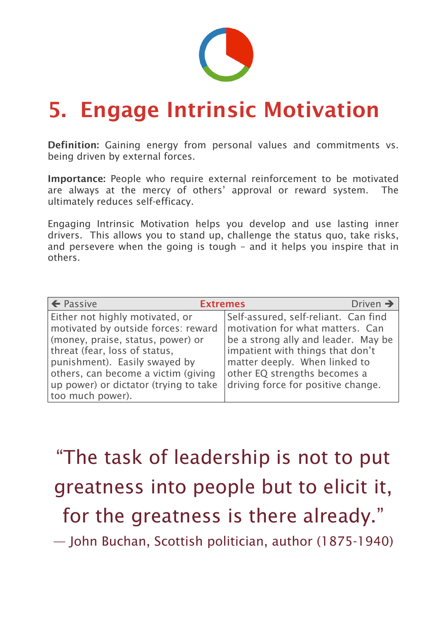

### 5. Engage Intrinsic Motivation

Definition: Gaining energy from personal values and commitments vs. being driven by external forces.

Importance: People who require external reinforcement to be motivated are always at the mercy of others' approval or reward system. The ultimately reduces self-efficacy.

Engaging Intrinsic Motivation helps you develop and use lasting inner drivers. This allows you to stand up, challenge the status quo, take risks, and persevere when the going is tough – and it helps you inspire that in others.

| $\leftarrow$ Passive<br><b>Extremes</b>                                                                                                                                                                                                                                           | Driven $\rightarrow$                                                                                                                                                                                                                                       |
|-----------------------------------------------------------------------------------------------------------------------------------------------------------------------------------------------------------------------------------------------------------------------------------|------------------------------------------------------------------------------------------------------------------------------------------------------------------------------------------------------------------------------------------------------------|
| Either not highly motivated, or<br>motivated by outside forces: reward<br>(money, praise, status, power) or<br>threat (fear, loss of status,<br>punishment). Easily swayed by<br>others, can become a victim (giving<br>up power) or dictator (trying to take<br>too much power). | Self-assured, self-reliant. Can find<br>motivation for what matters. Can<br>be a strong ally and leader. May be<br>impatient with things that don't<br>matter deeply. When linked to<br>other EQ strengths becomes a<br>driving force for positive change. |

### "The task of leadership is not to put

### greatness into people but to elicit it, for the greatness is there already."

— John Buchan, Scottish politician, author (1875-1940)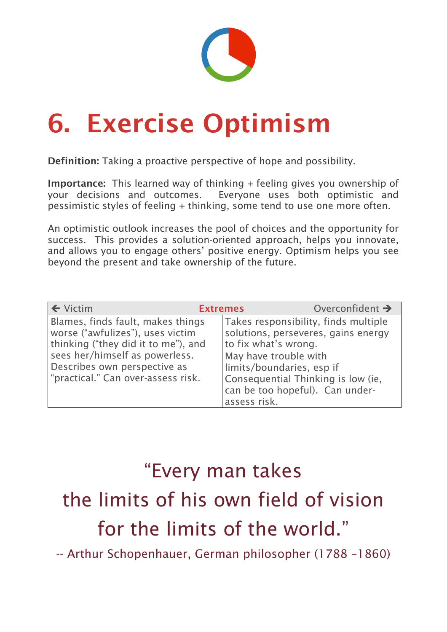

# 6. Exercise Optimism

Definition: Taking a proactive perspective of hope and possibility.

Importance: This learned way of thinking + feeling gives you ownership of your decisions and outcomes. Everyone uses both optimistic and pessimistic styles of feeling + thinking, some tend to use one more often.

An optimistic outlook increases the pool of choices and the opportunity for success. This provides a solution-oriented approach, helps you innovate, and allows you to engage others' positive energy. Optimism helps you see beyond the present and take ownership of the future.

| $\leftarrow$ Victim                                                                                                                                                                                                  | <b>Extremes</b>                                               | Overconfident $\rightarrow$                                                                                                                                                       |
|----------------------------------------------------------------------------------------------------------------------------------------------------------------------------------------------------------------------|---------------------------------------------------------------|-----------------------------------------------------------------------------------------------------------------------------------------------------------------------------------|
| Blames, finds fault, makes things<br>worse ("awfulizes"), uses victim<br>thinking ("they did it to me"), and<br>sees her/himself as powerless.<br>Describes own perspective as<br>"practical." Can over-assess risk. | to fix what's wrong.<br>May have trouble with<br>assess risk. | Takes responsibility, finds multiple<br>solutions, perseveres, gains energy<br>limits/boundaries, esp if<br>Consequential Thinking is low (ie,<br>can be too hopeful). Can under- |

#### "Every man takes

## the limits of his own field of vision for the limits of the world."

-- Arthur Schopenhauer, German philosopher (1788 –1860)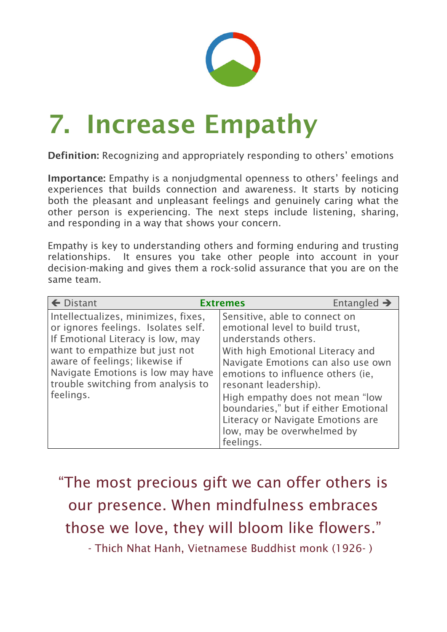

# 7. Increase Empathy

Definition: Recognizing and appropriately responding to others' emotions

Importance: Empathy is a nonjudgmental openness to others' feelings and experiences that builds connection and awareness. It starts by noticing both the pleasant and unpleasant feelings and genuinely caring what the other person is experiencing. The next steps include listening, sharing, and responding in a way that shows your concern.

Empathy is key to understanding others and forming enduring and trusting relationships. It ensures you take other people into account in your decision-making and gives them a rock-solid assurance that you are on the same team.

| $\leftarrow$ Distant                                                                                                                                                                                                                                                        | <b>Extremes</b>                                                                                                                                                                                                                                                                                                                                                                            | Entangled $\rightarrow$ |
|-----------------------------------------------------------------------------------------------------------------------------------------------------------------------------------------------------------------------------------------------------------------------------|--------------------------------------------------------------------------------------------------------------------------------------------------------------------------------------------------------------------------------------------------------------------------------------------------------------------------------------------------------------------------------------------|-------------------------|
| Intellectualizes, minimizes, fixes,<br>or ignores feelings. Isolates self.<br>If Emotional Literacy is low, may<br>want to empathize but just not<br>aware of feelings; likewise if<br>Navigate Emotions is low may have<br>trouble switching from analysis to<br>feelings. | Sensitive, able to connect on<br>emotional level to build trust,<br>understands others.<br>With high Emotional Literacy and<br>Navigate Emotions can also use own<br>emotions to influence others (ie,<br>resonant leadership).<br>High empathy does not mean "low<br>boundaries," but if either Emotional<br>Literacy or Navigate Emotions are<br>low, may be overwhelmed by<br>feelings. |                         |







### "The most precious gift we can offer others is our presence. When mindfulness embraces those we love, they will bloom like flowers."

- Thich Nhat Hanh, Vietnamese Buddhist monk (1926- )